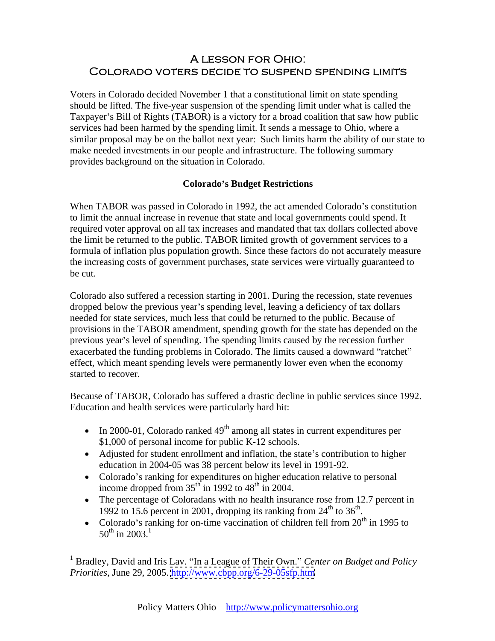# A LESSON FOR OHIO: COLORADO VOTERS DECIDE TO SUSPEND SPENDING LIMITS

Voters in Colorado decided November 1 that a constitutional limit on state spending should be lifted. The five-year suspension of the spending limit under what is called the Taxpayer's Bill of Rights (TABOR) is a victory for a broad coalition that saw how public services had been harmed by the spending limit. It sends a message to Ohio, where a similar proposal may be on the ballot next year: Such limits harm the ability of our state to make needed investments in our people and infrastructure. The following summary provides background on the situation in Colorado.

### **Colorado s Budget Restrictions**

When TABOR was passed in Colorado in 1992, the act amended Colorado's constitution to limit the annual increase in revenue that state and local governments could spend. It required voter approval on all tax increases and mandated that tax dollars collected above the limit be returned to the public. TABOR limited growth of government services to a formula of inflation plus population growth. Since these factors do not accurately measure the increasing costs of government purchases, state services were virtually guaranteed to be cut.

Colorado also suffered a recession starting in 2001. During the recession, state revenues dropped below the previous year's spending level, leaving a deficiency of tax dollars needed for state services, much less that could be returned to the public. Because of provisions in the TABOR amendment, spending growth for the state has depended on the previous year's level of spending. The spending limits caused by the recession further exacerbated the funding problems in Colorado. The limits caused a downward "ratchet" effect, which meant spending levels were permanently lower even when the economy started to recover.

Because of TABOR, Colorado has suffered a drastic decline in public services since 1992. Education and health services were particularly hard hit:

- In 2000-01, Colorado ranked  $49<sup>th</sup>$  among all states in current expenditures per \$1,000 of personal income for public K-12 schools.
- Adjusted for student enrollment and inflation, the state's contribution to higher education in 2004-05 was 38 percent below its level in 1991-92.
- Colorado's ranking for expenditures on higher education relative to personal income dropped from  $35<sup>th</sup>$  in 1992 to  $48<sup>th</sup>$  in 2004.
- The percentage of Coloradans with no health insurance rose from 12.7 percent in 1992 to 15.6 percent in 2001, dropping its ranking from  $24<sup>th</sup>$  to  $36<sup>th</sup>$ . . We are also as a series of the contract of the contract of the contract of the contract of the contract of t<br>The contract of the contract of the contract of the contract of the contract of the contract of the contract o
- Colorado's ranking for on-time vaccination of children fell from  $20^{th}$  in 1995 to  $50^{th}$  in  $2003$ .<sup>1</sup>  $50^{\text{th}}$  in 2003.<sup>1</sup>

<sup>&</sup>lt;sup>1</sup> Bradley, David and Iris Lav. "In a League of Their Own." Center on Budget and Policy *Priorities*, June 29, 2005.<http://www.cbpp.org/6-29-05sfp.htm>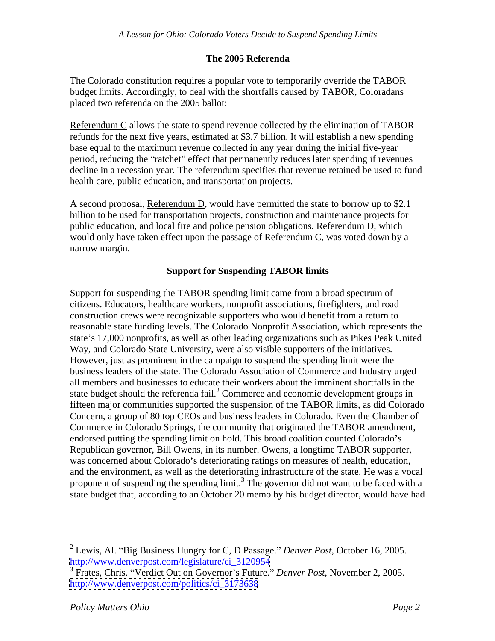## **The 2005 Referenda**

The Colorado constitution requires a popular vote to temporarily override the TABOR budget limits. Accordingly, to deal with the shortfalls caused by TABOR, Coloradans placed two referenda on the 2005 ballot:

Referendum C allows the state to spend revenue collected by the elimination of TABOR refunds for the next five years, estimated at \$3.7 billion. It will establish a new spending base equal to the maximum revenue collected in any year during the initial five-year period, reducing the "ratchet" effect that permanently reduces later spending if revenues decline in a recession year. The referendum specifies that revenue retained be used to fund health care, public education, and transportation projects.

A second proposal, Referendum D, would have permitted the state to borrow up to \$2.1 billion to be used for transportation projects, construction and maintenance projects for public education, and local fire and police pension obligations. Referendum D, which would only have taken effect upon the passage of Referendum C, was voted down by a narrow margin.

### **Support for Suspending TABOR limits**

Support for suspending the TABOR spending limit came from a broad spectrum of citizens. Educators, healthcare workers, nonprofit associations, firefighters, and road construction crews were recognizable supporters who would benefit from a return to reasonable state funding levels. The Colorado Nonprofit Association, which represents the state's 17,000 nonprofits, as well as other leading organizations such as Pikes Peak United Way, and Colorado State University, were also visible supporters of the initiatives. However, just as prominent in the campaign to suspend the spending limit were the business leaders of the state. The Colorado Association of Commerce and Industry urged all members and businesses to educate their workers about the imminent shortfalls in the state budget should the referenda fail.<sup>2</sup> Commerce and economic development groups in fifteen major communities supported the suspension of the TABOR limits, as did Colorado Concern, a group of 80 top CEOs and business leaders in Colorado. Even the Chamber of Commerce in Colorado Springs, the community that originated the TABOR amendment, endorsed putting the spending limit on hold. This broad coalition counted Colorado's Republican governor, Bill Owens, in its number. Owens, a longtime TABOR supporter, was concerned about Colorado's deteriorating ratings on measures of health, education, and the environment, as well as the deteriorating infrastructure of the state. He was a vocal proponent of suspending the spending limit.<sup>3</sup> The governor did not want to be faced with a state budget that, according to an October 20 memo by his budget director, would have had

<sup>&</sup>lt;sup>2</sup> Lewis, Al. "Big Business Hungry for C, D Passage." *Denver Post*, October 16, 2005. [http://www.denverpost.com/legislature/ci\\_3120954](http://www.denverpost.com/legislature/ci_3120954)

<sup>3</sup> Frates, Chris. Verdict Out on Governor s Future. *Denver Post*, November 2, 2005. [http://www.denverpost.com/politics/ci\\_3173638](http://www.denverpost.com/politics/ci_3173638)